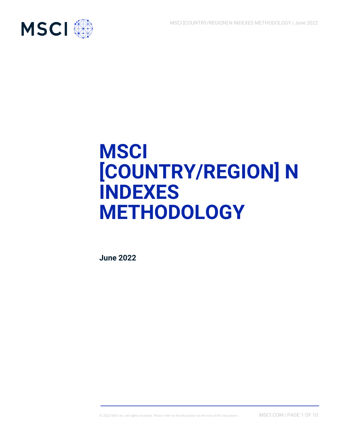

# **MSCI [COUNTRY/REGION] N INDEXES METHODOLOGY**

**June 2022**

© 2022 MSCI Inc. All rights reserved. Please refer to the disclaimer at the end of this document. MSCI.COM | PAGE 1 OF 10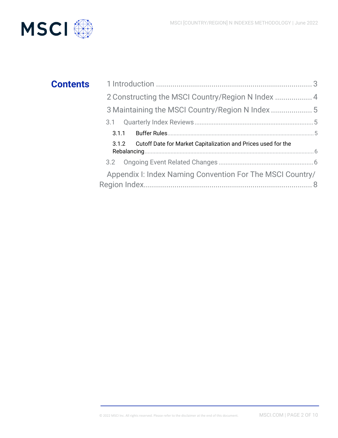

## **Contents**

| 2 Constructing the MSCI Country/Region N Index  4                   |  |
|---------------------------------------------------------------------|--|
| 3 Maintaining the MSCI Country/Region N Index                       |  |
|                                                                     |  |
|                                                                     |  |
| 3.1.2 Cutoff Date for Market Capitalization and Prices used for the |  |
|                                                                     |  |
| Appendix I: Index Naming Convention For The MSCI Country/           |  |
|                                                                     |  |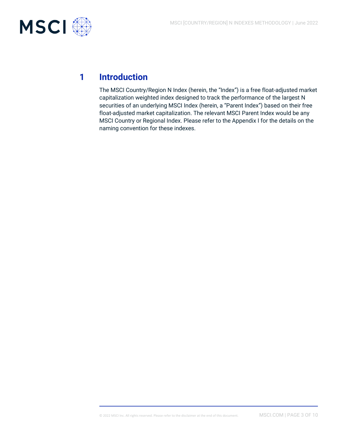

## **1 Introduction**

The MSCI Country/Region N Index (herein, the "Index") is a free float-adjusted market capitalization weighted index designed to track the performance of the largest N securities of an underlying MSCI Index (herein, a "Parent Index") based on their free float-adjusted market capitalization. The relevant MSCI Parent Index would be any MSCI Country or Regional Index. Please refer to the Appendix I for the details on the naming convention for these indexes.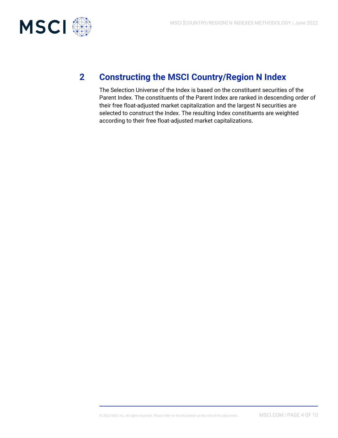

## **2 Constructing the MSCI Country/Region N Index**

The Selection Universe of the Index is based on the constituent securities of the Parent Index. The constituents of the Parent Index are ranked in descending order of their free float-adjusted market capitalization and the largest N securities are selected to construct the Index. The resulting Index constituents are weighted according to their free float-adjusted market capitalizations.

© 2022 MSCI Inc. All rights reserved. Please refer to the disclaimer at the end of this document. MSCI.COM | PAGE 4 OF 10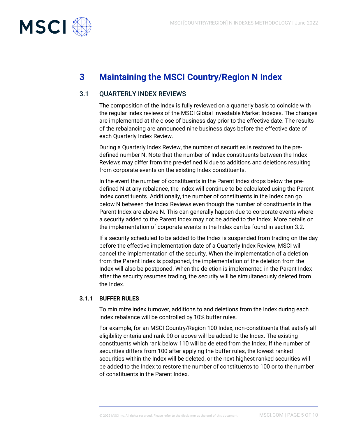

## **3 Maintaining the MSCI Country/Region N Index**

### 3.1 QUARTERLY INDEX REVIEWS

The composition of the Index is fully reviewed on a quarterly basis to coincide with the regular index reviews of the MSCI Global Investable Market Indexes. The changes are implemented at the close of business day prior to the effective date. The results of the rebalancing are announced nine business days before the effective date of each Quarterly Index Review.

During a Quarterly Index Review, the number of securities is restored to the predefined number N. Note that the number of Index constituents between the Index Reviews may differ from the pre-defined N due to additions and deletions resulting from corporate events on the existing Index constituents.

In the event the number of constituents in the Parent Index drops below the predefined N at any rebalance, the Index will continue to be calculated using the Parent Index constituents. Additionally, the number of constituents in the Index can go below N between the Index Reviews even though the number of constituents in the Parent Index are above N. This can generally happen due to corporate events where a security added to the Parent Index may not be added to the Index. More details on the implementation of corporate events in the Index can be found in section 3.2.

If a security scheduled to be added to the Index is suspended from trading on the day before the effective implementation date of a Quarterly Index Review, MSCI will cancel the implementation of the security. When the implementation of a deletion from the Parent Index is postponed, the implementation of the deletion from the Index will also be postponed. When the deletion is implemented in the Parent Index after the security resumes trading, the security will be simultaneously deleted from the Index.

#### **3.1.1 BUFFER RULES**

To minimize index turnover, additions to and deletions from the Index during each index rebalance will be controlled by 10% buffer rules.

For example, for an MSCI Country/Region 100 Index, non-constituents that satisfy all eligibility criteria and rank 90 or above will be added to the Index. The existing constituents which rank below 110 will be deleted from the Index. If the number of securities differs from 100 after applying the buffer rules, the lowest ranked securities within the Index will be deleted, or the next highest ranked securities will be added to the Index to restore the number of constituents to 100 or to the number of constituents in the Parent Index.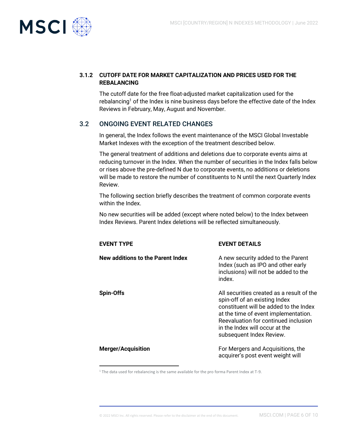

#### **3.1.2 CUTOFF DATE FOR MARKET CAPITALIZATION AND PRICES USED FOR THE REBALANCING**

The cutoff date for the free float-adjusted market capitalization used for the rebalancing<sup>1</sup> of the Index is nine business days before the effective date of the Index Reviews in February, May, August and November.

## 3.2 ONGOING EVENT RELATED CHANGES

In general, the Index follows the event maintenance of the MSCI Global Investable Market Indexes with the exception of the treatment described below.

The general treatment of additions and deletions due to corporate events aims at reducing turnover in the Index. When the number of securities in the Index falls below or rises above the pre-defined N due to corporate events, no additions or deletions will be made to restore the number of constituents to N until the next Quarterly Index Review.

The following section briefly describes the treatment of common corporate events within the Index.

No new securities will be added (except where noted below) to the Index between Index Reviews. Parent Index deletions will be reflected simultaneously.

| <b>EVENT TYPE</b>                 | <b>EVENT DETAILS</b>                                                                                                                                                                                                                                               |
|-----------------------------------|--------------------------------------------------------------------------------------------------------------------------------------------------------------------------------------------------------------------------------------------------------------------|
| New additions to the Parent Index | A new security added to the Parent<br>Index (such as IPO and other early<br>inclusions) will not be added to the<br>index.                                                                                                                                         |
| <b>Spin-Offs</b>                  | All securities created as a result of the<br>spin-off of an existing Index<br>constituent will be added to the Index<br>at the time of event implementation.<br>Reevaluation for continued inclusion<br>in the Index will occur at the<br>subsequent Index Review. |
| <b>Merger/Acquisition</b>         | For Mergers and Acquisitions, the<br>acquirer's post event weight will                                                                                                                                                                                             |

<sup>1</sup> The data used for rebalancing is the same available for the pro forma Parent Index at T-9.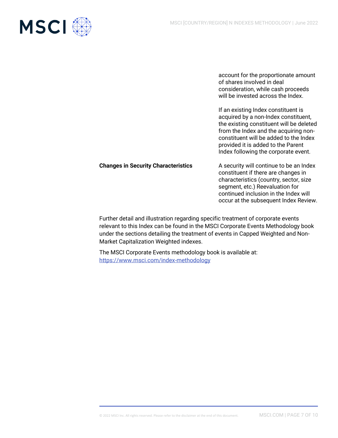

account for the proportionate amount of shares involved in deal consideration, while cash proceeds will be invested across the Index.

If an existing Index constituent is acquired by a non-Index constituent, the existing constituent will be deleted from the Index and the acquiring nonconstituent will be added to the Index provided it is added to the Parent Index following the corporate event.

#### **Changes in Security Characteristics** A security will continue to be an Index

constituent if there are changes in characteristics (country, sector, size segment, etc.) Reevaluation for continued inclusion in the Index will occur at the subsequent Index Review.

Further detail and illustration regarding specific treatment of corporate events relevant to this Index can be found in the MSCI Corporate Events Methodology book under the sections detailing the treatment of events in Capped Weighted and Non-Market Capitalization Weighted indexes.

The MSCI Corporate Events methodology book is available at: <https://www.msci.com/index-methodology>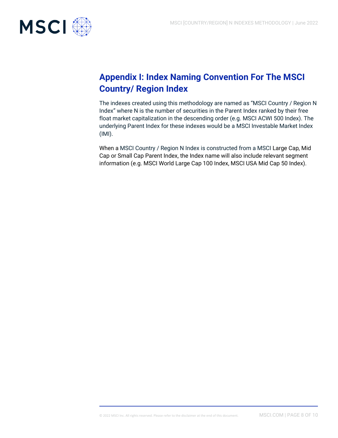

## **Appendix I: Index Naming Convention For The MSCI Country/ Region Index**

The indexes created using this methodology are named as "MSCI Country / Region N Index" where N is the number of securities in the Parent Index ranked by their free float market capitalization in the descending order (e.g. MSCI ACWI 500 Index). The underlying Parent Index for these indexes would be a MSCI Investable Market Index (IMI).

When a MSCI Country / Region N Index is constructed from a MSCI Large Cap, Mid Cap or Small Cap Parent Index, the Index name will also include relevant segment information (e.g. MSCI World Large Cap 100 Index, MSCI USA Mid Cap 50 Index).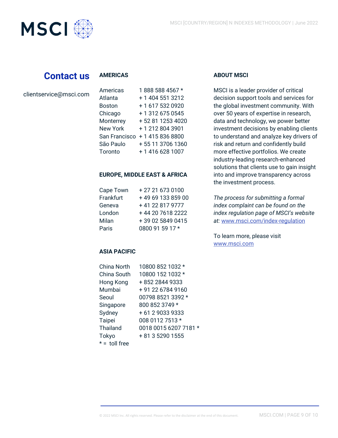

## **Contact us**

#### **AMERICAS**

|  | clientservice@msci.com |  |  |
|--|------------------------|--|--|
|  |                        |  |  |

| Americas        | 1888 588 4567 *  |
|-----------------|------------------|
| Atlanta         | + 1 404 551 3212 |
| <b>Boston</b>   | +1 617 532 0920  |
| Chicago         | +13126750545     |
| Monterrey       | +52 81 1253 4020 |
| <b>New York</b> | +12128043901     |
| San Francisco   | +14158368800     |
| São Paulo       | +55 11 3706 1360 |
| Toronto         | +1 416 628 1007  |

#### **EUROPE, MIDDLE EAST & AFRICA**

| Cape Town | +27 21 673 0100   |
|-----------|-------------------|
| Frankfurt | +49 69 133 859 00 |
| Geneva    | +41 22 817 9777   |
| London    | +44 20 7618 2222  |
| Milan     | +39 02 5849 0415  |
| Paris     | 0800 91 59 17 *   |

#### **ASIA PACIFIC**

| China North     | 10800 852 1032 *      |
|-----------------|-----------------------|
| China South     | 10800 152 1032 *      |
| Hong Kong       | + 852 2844 9333       |
|                 |                       |
| Mumbai          | +91 22 6784 9160      |
| Seoul           | 00798 8521 3392 *     |
| Singapore       | 800 852 3749 *        |
| Sydney          | +61 290339333         |
| Taipei          | 008 0112 7513 *       |
| Thailand        | 0018 0015 6207 7181 * |
| Tokyo           | + 81 3 5290 1555      |
| $* =$ toll free |                       |

#### **ABOUT MSCI**

MSCI is a leader provider of critical decision support tools and services for the global investment community. With over 50 years of expertise in research, data and technology, we power better investment decisions by enabling clients to understand and analyze key drivers of risk and return and confidently build more effective portfolios. We create industry-leading research-enhanced solutions that clients use to gain insight into and improve transparency across the investment process.

*The process for submitting a formal index complaint can be found on the index regulation page of MSCI's website at:* [www.msci.com/index-regulation](https://www.msci.com/indexregulation)

To learn more, please visit [www.msci.com](http://www.msci.com/)